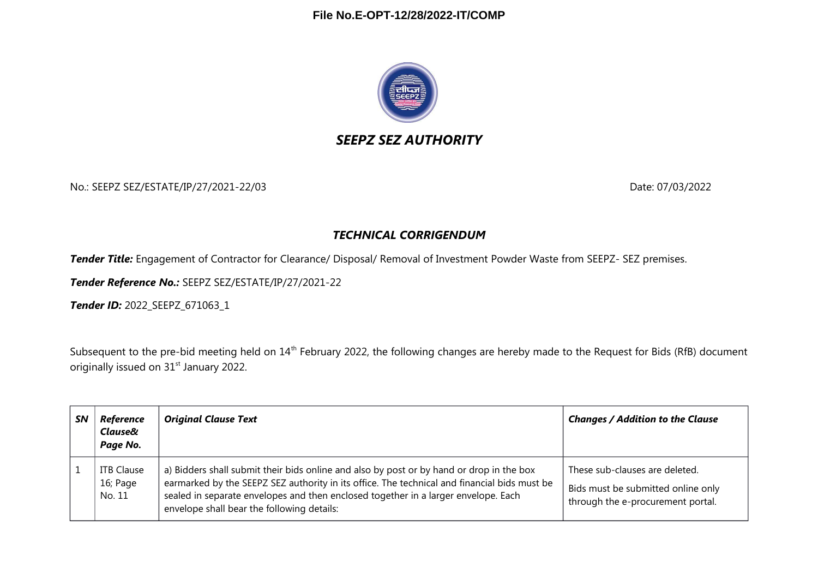

# *SEEPZ SEZ AUTHORITY*

No.: SEEPZ SEZ/ESTATE/IP/27/2021-22/03 Date: 07/03/2022

### *TECHNICAL CORRIGENDUM*

*Tender Title:* Engagement of Contractor for Clearance/ Disposal/ Removal of Investment Powder Waste from SEEPZ- SEZ premises.

*Tender Reference No.:* SEEPZ SEZ/ESTATE/IP/27/2021-22

*Tender ID:* 2022\_SEEPZ\_671063\_1

Subsequent to the pre-bid meeting held on 14<sup>th</sup> February 2022, the following changes are hereby made to the Request for Bids (RfB) document originally issued on 31<sup>st</sup> January 2022.

| <b>SN</b> | Reference<br>Clause&<br>Page No.        | <b>Original Clause Text</b>                                                                                                                                                                                                                                                                                                  | <b>Changes / Addition to the Clause</b>                                                                   |
|-----------|-----------------------------------------|------------------------------------------------------------------------------------------------------------------------------------------------------------------------------------------------------------------------------------------------------------------------------------------------------------------------------|-----------------------------------------------------------------------------------------------------------|
|           | <b>ITB Clause</b><br>16; Page<br>No. 11 | a) Bidders shall submit their bids online and also by post or by hand or drop in the box<br>earmarked by the SEEPZ SEZ authority in its office. The technical and financial bids must be<br>sealed in separate envelopes and then enclosed together in a larger envelope. Each<br>envelope shall bear the following details: | These sub-clauses are deleted.<br>Bids must be submitted online only<br>through the e-procurement portal. |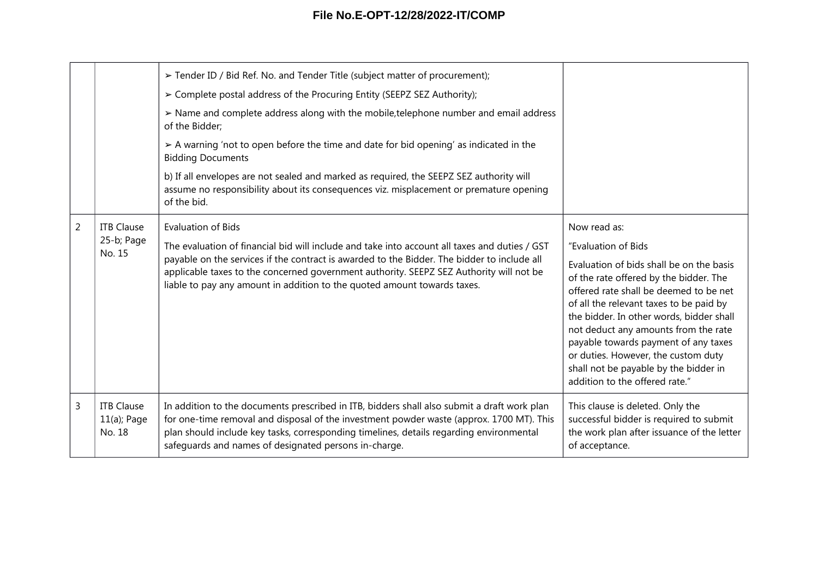# **File No.E-OPT-12/28/2022-IT/COMP**

|                |                                               | > Tender ID / Bid Ref. No. and Tender Title (subject matter of procurement);                                                                                                                                                                                                                                                                                                                     |                                                                                                                                                                                                                                                                                                                                                                                                                       |
|----------------|-----------------------------------------------|--------------------------------------------------------------------------------------------------------------------------------------------------------------------------------------------------------------------------------------------------------------------------------------------------------------------------------------------------------------------------------------------------|-----------------------------------------------------------------------------------------------------------------------------------------------------------------------------------------------------------------------------------------------------------------------------------------------------------------------------------------------------------------------------------------------------------------------|
|                |                                               | > Complete postal address of the Procuring Entity (SEEPZ SEZ Authority);                                                                                                                                                                                                                                                                                                                         |                                                                                                                                                                                                                                                                                                                                                                                                                       |
|                |                                               | > Name and complete address along with the mobile, telephone number and email address<br>of the Bidder;                                                                                                                                                                                                                                                                                          |                                                                                                                                                                                                                                                                                                                                                                                                                       |
|                |                                               | > A warning 'not to open before the time and date for bid opening' as indicated in the<br><b>Bidding Documents</b>                                                                                                                                                                                                                                                                               |                                                                                                                                                                                                                                                                                                                                                                                                                       |
|                |                                               | b) If all envelopes are not sealed and marked as required, the SEEPZ SEZ authority will<br>assume no responsibility about its consequences viz. misplacement or premature opening<br>of the bid.                                                                                                                                                                                                 |                                                                                                                                                                                                                                                                                                                                                                                                                       |
| $\overline{2}$ | <b>ITB Clause</b><br>25-b; Page<br>No. 15     | <b>Evaluation of Bids</b><br>The evaluation of financial bid will include and take into account all taxes and duties / GST<br>payable on the services if the contract is awarded to the Bidder. The bidder to include all<br>applicable taxes to the concerned government authority. SEEPZ SEZ Authority will not be<br>liable to pay any amount in addition to the quoted amount towards taxes. | Now read as:                                                                                                                                                                                                                                                                                                                                                                                                          |
|                |                                               |                                                                                                                                                                                                                                                                                                                                                                                                  | "Evaluation of Bids                                                                                                                                                                                                                                                                                                                                                                                                   |
|                |                                               |                                                                                                                                                                                                                                                                                                                                                                                                  | Evaluation of bids shall be on the basis<br>of the rate offered by the bidder. The<br>offered rate shall be deemed to be net<br>of all the relevant taxes to be paid by<br>the bidder. In other words, bidder shall<br>not deduct any amounts from the rate<br>payable towards payment of any taxes<br>or duties. However, the custom duty<br>shall not be payable by the bidder in<br>addition to the offered rate." |
| 3              | <b>ITB Clause</b><br>$11(a)$ ; Page<br>No. 18 | In addition to the documents prescribed in ITB, bidders shall also submit a draft work plan<br>for one-time removal and disposal of the investment powder waste (approx. 1700 MT). This<br>plan should include key tasks, corresponding timelines, details regarding environmental<br>safeguards and names of designated persons in-charge.                                                      | This clause is deleted. Only the<br>successful bidder is required to submit<br>the work plan after issuance of the letter<br>of acceptance.                                                                                                                                                                                                                                                                           |